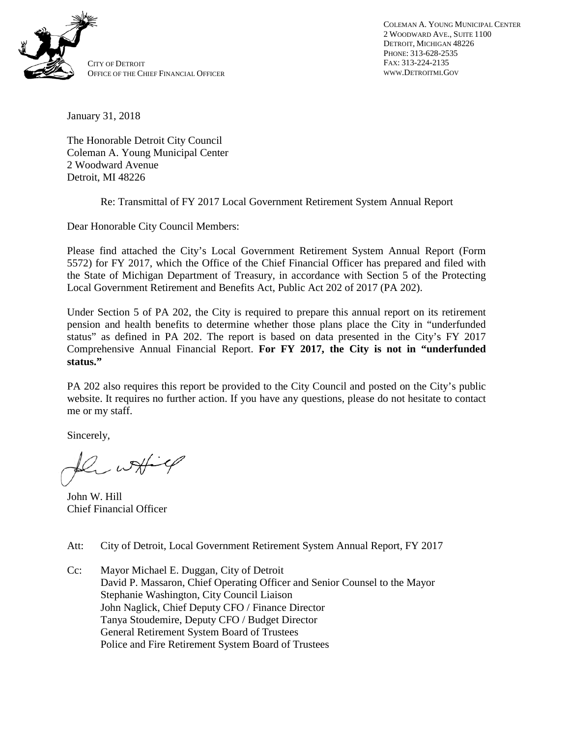

COLEMAN A. YOUNG MUNICIPAL CENTER 2 WOODWARD AVE., SUITE 1100 DETROIT, MICHIGAN 48226 PHONE: 313-628-2535 FAX: 313-224-2135 WWW.DETROITMI.GOV

January 31, 2018

The Honorable Detroit City Council Coleman A. Young Municipal Center 2 Woodward Avenue Detroit, MI 48226

Re: Transmittal of FY 2017 Local Government Retirement System Annual Report

Dear Honorable City Council Members:

Please find attached the City's Local Government Retirement System Annual Report (Form 5572) for FY 2017, which the Office of the Chief Financial Officer has prepared and filed with the State of Michigan Department of Treasury, in accordance with Section 5 of the Protecting Local Government Retirement and Benefits Act, Public Act 202 of 2017 (PA 202).

Under Section 5 of PA 202, the City is required to prepare this annual report on its retirement pension and health benefits to determine whether those plans place the City in "underfunded status" as defined in PA 202. The report is based on data presented in the City's FY 2017 Comprehensive Annual Financial Report. **For FY 2017, the City is not in "underfunded status."**

PA 202 also requires this report be provided to the City Council and posted on the City's public website. It requires no further action. If you have any questions, please do not hesitate to contact me or my staff.

Sincerely,

 $w + 4$ 

John W. Hill Chief Financial Officer

Att: City of Detroit, Local Government Retirement System Annual Report, FY 2017

Cc: Mayor Michael E. Duggan, City of Detroit David P. Massaron, Chief Operating Officer and Senior Counsel to the Mayor Stephanie Washington, City Council Liaison John Naglick, Chief Deputy CFO / Finance Director Tanya Stoudemire, Deputy CFO / Budget Director General Retirement System Board of Trustees Police and Fire Retirement System Board of Trustees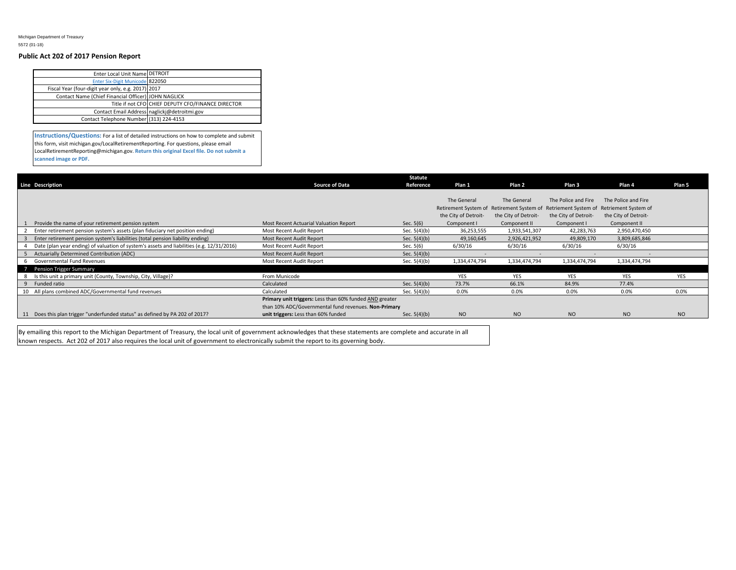Michigan Department of Treasury 5572 (01-18)

## **Public Act 202 of 2017 Pension Report**

| Enter Local Unit Name DETROIT                       |                                                    |
|-----------------------------------------------------|----------------------------------------------------|
| <b>Enter Six-Digit Municode 822050</b>              |                                                    |
| Fiscal Year (four-digit year only, e.g. 2017) 2017  |                                                    |
| Contact Name (Chief Financial Officer) JOHN NAGLICK |                                                    |
|                                                     | Title if not CFO CHIEF DEPUTY CFO/FINANCE DIRECTOR |
|                                                     | Contact Email Address naglickj@detroitmi.gov       |
| Contact Telephone Number (313) 224-4153             |                                                    |
|                                                     |                                                    |

**Instructions/Questions:** For a list of detailed instructions on how to complete and submit this form, visit michigan.gov/LocalRetirementReporting. For questions, please email LocalRetirementReporting@michigan.gov. **Return this original Excel file. Do not submit a scanned image or PDF.**

|                                                                                           |                                                         | <b>Statute</b> |                                                                                     |                      |                      |                      |            |
|-------------------------------------------------------------------------------------------|---------------------------------------------------------|----------------|-------------------------------------------------------------------------------------|----------------------|----------------------|----------------------|------------|
| <b>Line Description</b>                                                                   | <b>Source of Data</b>                                   | Reference      | Plan 1                                                                              | Plan <sub>2</sub>    | Plan <sub>3</sub>    | Plan 4               | Plan 5     |
|                                                                                           |                                                         |                |                                                                                     |                      |                      |                      |            |
|                                                                                           |                                                         |                | The General                                                                         | The General          | The Police and Fire  | The Police and Fire  |            |
|                                                                                           |                                                         |                | Retirement System of Retirement System of Retriement System of Retriement System of |                      |                      |                      |            |
|                                                                                           |                                                         |                | the City of Detroit-                                                                | the City of Detroit- | the City of Detroit- | the City of Detroit- |            |
| Provide the name of your retirement pension system                                        | Most Recent Actuarial Valuation Report                  | Sec. $5(6)$    | Component I                                                                         | Component II         | Component I          | Component II         |            |
| Enter retirement pension system's assets (plan fiduciary net position ending)             | Most Recent Audit Report                                | Sec. 5(4)(b)   | 36,253,555                                                                          | 1,933,541,307        | 42,283,763           | 2,950,470,450        |            |
| Enter retirement pension system's liabilities (total pension liability ending)            | Most Recent Audit Report                                | Sec. $5(4)(b)$ | 49,160,645                                                                          | 2,926,421,952        | 49,809,170           | 3,809,685,846        |            |
| Date (plan year ending) of valuation of system's assets and liabilities (e.g. 12/31/2016) | Most Recent Audit Report                                | Sec. 5(6)      | 6/30/16                                                                             | 6/30/16              | 6/30/16              | 6/30/16              |            |
| Actuarially Determined Contribution (ADC)                                                 | Most Recent Audit Report                                | Sec. $5(4)(b)$ |                                                                                     |                      |                      |                      |            |
| Governmental Fund Revenues                                                                | Most Recent Audit Report                                | Sec. $5(4)(b)$ | 1,334,474,794                                                                       | 1,334,474,794        | 1,334,474,794        | 1,334,474,794        |            |
| Pension Trigger Summary                                                                   |                                                         |                |                                                                                     |                      |                      |                      |            |
| Is this unit a primary unit (County, Township, City, Village)?                            | From Municode                                           |                | <b>YES</b>                                                                          | <b>YES</b>           | <b>YES</b>           | YES                  | <b>YES</b> |
| Funded ratio<br>9                                                                         | Calculated                                              | Sec. $5(4)(b)$ | 73.7%                                                                               | 66.1%                | 84.9%                | 77.4%                |            |
| All plans combined ADC/Governmental fund revenues                                         | Calculated                                              | Sec. $5(4)(b)$ | 0.0%                                                                                | 0.0%                 | 0.0%                 | 0.0%                 | 0.0%       |
|                                                                                           | Primary unit triggers: Less than 60% funded AND greater |                |                                                                                     |                      |                      |                      |            |
|                                                                                           | than 10% ADC/Governmental fund revenues. Non-Primary    |                |                                                                                     |                      |                      |                      |            |
| 11 Does this plan trigger "underfunded status" as defined by PA 202 of 2017?              | unit triggers: Less than 60% funded                     | Sec. $5(4)(b)$ | <b>NO</b>                                                                           | <b>NO</b>            | NO <sub>1</sub>      | NO                   | <b>NO</b>  |

By emailing this report to the Michigan Department of Treasury, the local unit of government acknowledges that these statements are complete and accurate in all known respects. Act 202 of 2017 also requires the local unit of government to electronically submit the report to its governing body.